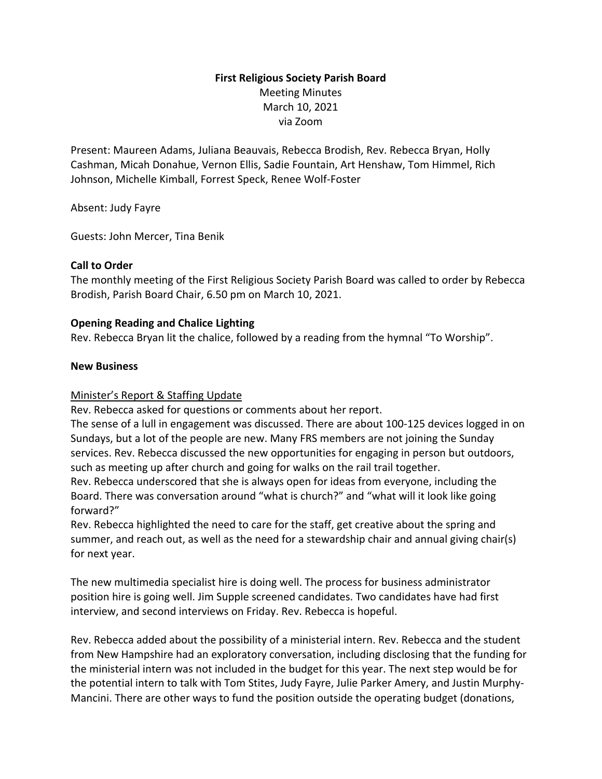# **First Religious Society Parish Board** Meeting Minutes March 10, 2021 via Zoom

Present: Maureen Adams, Juliana Beauvais, Rebecca Brodish, Rev. Rebecca Bryan, Holly Cashman, Micah Donahue, Vernon Ellis, Sadie Fountain, Art Henshaw, Tom Himmel, Rich Johnson, Michelle Kimball, Forrest Speck, Renee Wolf-Foster

Absent: Judy Fayre

Guests: John Mercer, Tina Benik

### **Call to Order**

The monthly meeting of the First Religious Society Parish Board was called to order by Rebecca Brodish, Parish Board Chair, 6.50 pm on March 10, 2021.

### **Opening Reading and Chalice Lighting**

Rev. Rebecca Bryan lit the chalice, followed by a reading from the hymnal "To Worship".

### **New Business**

# Minister's Report & Staffing Update

Rev. Rebecca asked for questions or comments about her report.

The sense of a lull in engagement was discussed. There are about 100-125 devices logged in on Sundays, but a lot of the people are new. Many FRS members are not joining the Sunday services. Rev. Rebecca discussed the new opportunities for engaging in person but outdoors, such as meeting up after church and going for walks on the rail trail together. Rev. Rebecca underscored that she is always open for ideas from everyone, including the

Board. There was conversation around "what is church?" and "what will it look like going forward?"

Rev. Rebecca highlighted the need to care for the staff, get creative about the spring and summer, and reach out, as well as the need for a stewardship chair and annual giving chair(s) for next year.

The new multimedia specialist hire is doing well. The process for business administrator position hire is going well. Jim Supple screened candidates. Two candidates have had first interview, and second interviews on Friday. Rev. Rebecca is hopeful.

Rev. Rebecca added about the possibility of a ministerial intern. Rev. Rebecca and the student from New Hampshire had an exploratory conversation, including disclosing that the funding for the ministerial intern was not included in the budget for this year. The next step would be for the potential intern to talk with Tom Stites, Judy Fayre, Julie Parker Amery, and Justin Murphy-Mancini. There are other ways to fund the position outside the operating budget (donations,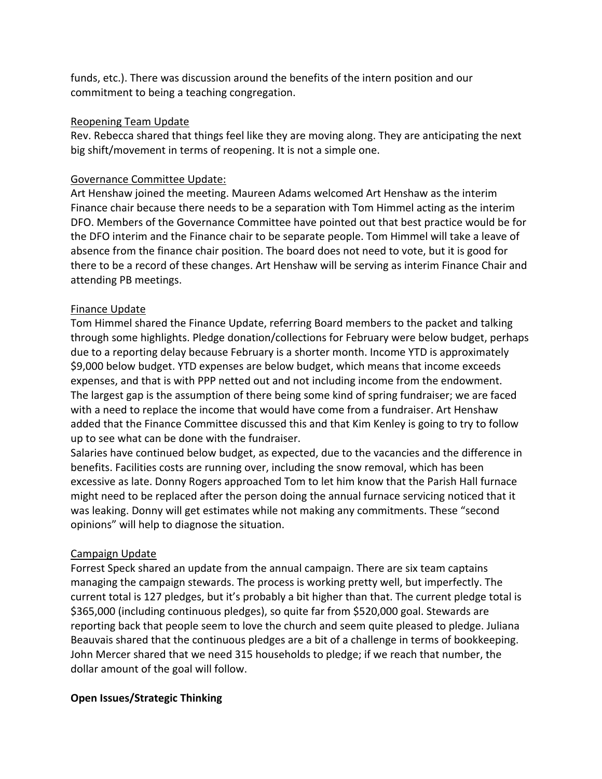funds, etc.). There was discussion around the benefits of the intern position and our commitment to being a teaching congregation.

### Reopening Team Update

Rev. Rebecca shared that things feel like they are moving along. They are anticipating the next big shift/movement in terms of reopening. It is not a simple one.

# Governance Committee Update:

Art Henshaw joined the meeting. Maureen Adams welcomed Art Henshaw as the interim Finance chair because there needs to be a separation with Tom Himmel acting as the interim DFO. Members of the Governance Committee have pointed out that best practice would be for the DFO interim and the Finance chair to be separate people. Tom Himmel will take a leave of absence from the finance chair position. The board does not need to vote, but it is good for there to be a record of these changes. Art Henshaw will be serving as interim Finance Chair and attending PB meetings.

### Finance Update

Tom Himmel shared the Finance Update, referring Board members to the packet and talking through some highlights. Pledge donation/collections for February were below budget, perhaps due to a reporting delay because February is a shorter month. Income YTD is approximately \$9,000 below budget. YTD expenses are below budget, which means that income exceeds expenses, and that is with PPP netted out and not including income from the endowment. The largest gap is the assumption of there being some kind of spring fundraiser; we are faced with a need to replace the income that would have come from a fundraiser. Art Henshaw added that the Finance Committee discussed this and that Kim Kenley is going to try to follow up to see what can be done with the fundraiser.

Salaries have continued below budget, as expected, due to the vacancies and the difference in benefits. Facilities costs are running over, including the snow removal, which has been excessive as late. Donny Rogers approached Tom to let him know that the Parish Hall furnace might need to be replaced after the person doing the annual furnace servicing noticed that it was leaking. Donny will get estimates while not making any commitments. These "second opinions" will help to diagnose the situation.

#### Campaign Update

Forrest Speck shared an update from the annual campaign. There are six team captains managing the campaign stewards. The process is working pretty well, but imperfectly. The current total is 127 pledges, but it's probably a bit higher than that. The current pledge total is \$365,000 (including continuous pledges), so quite far from \$520,000 goal. Stewards are reporting back that people seem to love the church and seem quite pleased to pledge. Juliana Beauvais shared that the continuous pledges are a bit of a challenge in terms of bookkeeping. John Mercer shared that we need 315 households to pledge; if we reach that number, the dollar amount of the goal will follow.

#### **Open Issues/Strategic Thinking**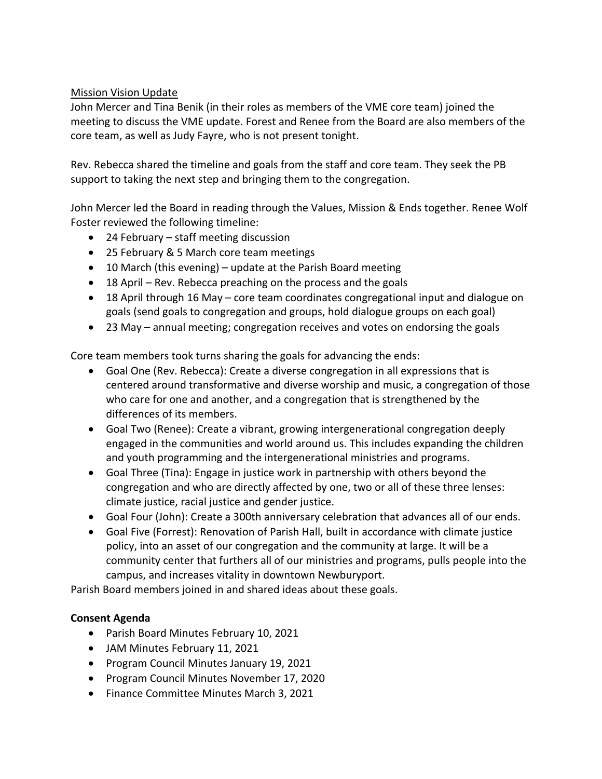# Mission Vision Update

John Mercer and Tina Benik (in their roles as members of the VME core team) joined the meeting to discuss the VME update. Forest and Renee from the Board are also members of the core team, as well as Judy Fayre, who is not present tonight.

Rev. Rebecca shared the timeline and goals from the staff and core team. They seek the PB support to taking the next step and bringing them to the congregation.

John Mercer led the Board in reading through the Values, Mission & Ends together. Renee Wolf Foster reviewed the following timeline:

- 24 February staff meeting discussion
- 25 February & 5 March core team meetings
- 10 March (this evening) update at the Parish Board meeting
- 18 April Rev. Rebecca preaching on the process and the goals
- 18 April through 16 May core team coordinates congregational input and dialogue on goals (send goals to congregation and groups, hold dialogue groups on each goal)
- 23 May annual meeting; congregation receives and votes on endorsing the goals

Core team members took turns sharing the goals for advancing the ends:

- Goal One (Rev. Rebecca): Create a diverse congregation in all expressions that is centered around transformative and diverse worship and music, a congregation of those who care for one and another, and a congregation that is strengthened by the differences of its members.
- Goal Two (Renee): Create a vibrant, growing intergenerational congregation deeply engaged in the communities and world around us. This includes expanding the children and youth programming and the intergenerational ministries and programs.
- Goal Three (Tina): Engage in justice work in partnership with others beyond the congregation and who are directly affected by one, two or all of these three lenses: climate justice, racial justice and gender justice.
- Goal Four (John): Create a 300th anniversary celebration that advances all of our ends.
- Goal Five (Forrest): Renovation of Parish Hall, built in accordance with climate justice policy, into an asset of our congregation and the community at large. It will be a community center that furthers all of our ministries and programs, pulls people into the campus, and increases vitality in downtown Newburyport.

Parish Board members joined in and shared ideas about these goals.

#### **Consent Agenda**

- Parish Board Minutes February 10, 2021
- JAM Minutes February 11, 2021
- Program Council Minutes January 19, 2021
- Program Council Minutes November 17, 2020
- Finance Committee Minutes March 3, 2021